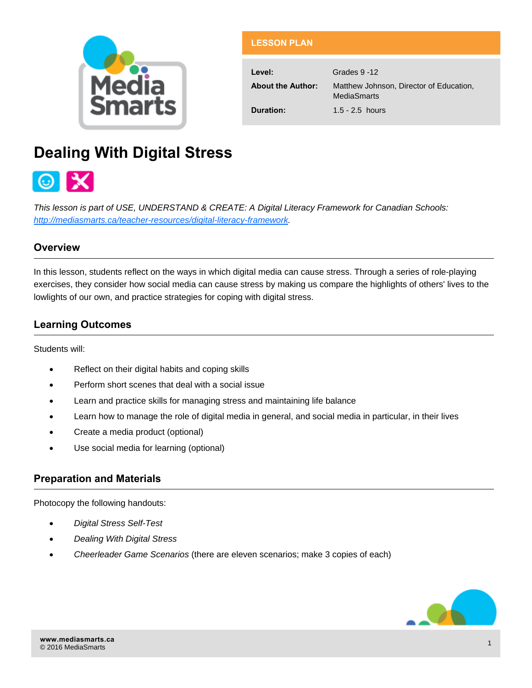

| <b>LESSON PLAN</b> |  |  |
|--------------------|--|--|
|                    |  |  |

**Level:** Grades 9 -12 **About the Author:** Matthew Johnson, Director of Education, MediaSmarts **Duration:** 1.5 - 2.5 hours

# **Dealing With Digital Stress**



*This lesson is part of USE, UNDERSTAND & CREATE: A Digital Literacy Framework for Canadian Schools: [http://mediasmarts.ca/teacher-resources/digital-literacy-framework.](http://mediasmarts.ca/teacher-resources/digital-literacy-framework)* 

## **Overview**

In this lesson, students reflect on the ways in which digital media can cause stress. Through a series of role-playing exercises, they consider how social media can cause stress by making us compare the highlights of others' lives to the lowlights of our own, and practice strategies for coping with digital stress.

# **Learning Outcomes**

Students will:

- Reflect on their digital habits and coping skills
- Perform short scenes that deal with a social issue
- Learn and practice skills for managing stress and maintaining life balance
- Learn how to manage the role of digital media in general, and social media in particular, in their lives
- Create a media product (optional)
- Use social media for learning (optional)

## **Preparation and Materials**

Photocopy the following handouts:

- *Digital Stress Self-Test*
- *Dealing With Digital Stress*
- *Cheerleader Game Scenarios* (there are eleven scenarios; make 3 copies of each)

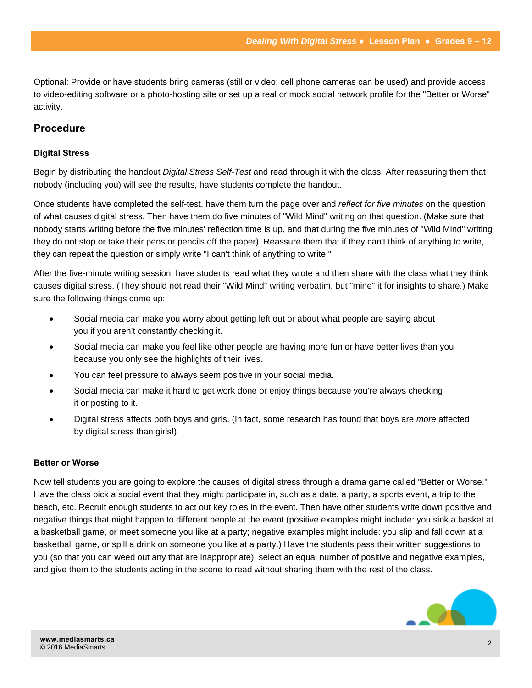Optional: Provide or have students bring cameras (still or video; cell phone cameras can be used) and provide access to video-editing software or a photo-hosting site or set up a real or mock social network profile for the "Better or Worse" activity.

## **Procedure**

### **Digital Stress**

Begin by distributing the handout *Digital Stress Self-Test* and read through it with the class. After reassuring them that nobody (including you) will see the results, have students complete the handout.

Once students have completed the self-test, have them turn the page over and *reflect for five minutes* on the question of what causes digital stress. Then have them do five minutes of "Wild Mind" writing on that question. (Make sure that nobody starts writing before the five minutes' reflection time is up, and that during the five minutes of "Wild Mind" writing they do not stop or take their pens or pencils off the paper). Reassure them that if they can't think of anything to write, they can repeat the question or simply write "I can't think of anything to write."

After the five-minute writing session, have students read what they wrote and then share with the class what they think causes digital stress. (They should not read their "Wild Mind" writing verbatim, but "mine" it for insights to share.) Make sure the following things come up:

- Social media can make you worry about getting left out or about what people are saying about you if you aren't constantly checking it.
- Social media can make you feel like other people are having more fun or have better lives than you because you only see the highlights of their lives.
- You can feel pressure to always seem positive in your social media.
- Social media can make it hard to get work done or enjoy things because you're always checking it or posting to it.
- Digital stress affects both boys and girls. (In fact, some research has found that boys are *more* affected by digital stress than girls!)

#### **Better or Worse**

Now tell students you are going to explore the causes of digital stress through a drama game called "Better or Worse." Have the class pick a social event that they might participate in, such as a date, a party, a sports event, a trip to the beach, etc. Recruit enough students to act out key roles in the event. Then have other students write down positive and negative things that might happen to different people at the event (positive examples might include: you sink a basket at a basketball game, or meet someone you like at a party; negative examples might include: you slip and fall down at a basketball game, or spill a drink on someone you like at a party.) Have the students pass their written suggestions to you (so that you can weed out any that are inappropriate), select an equal number of positive and negative examples, and give them to the students acting in the scene to read without sharing them with the rest of the class.

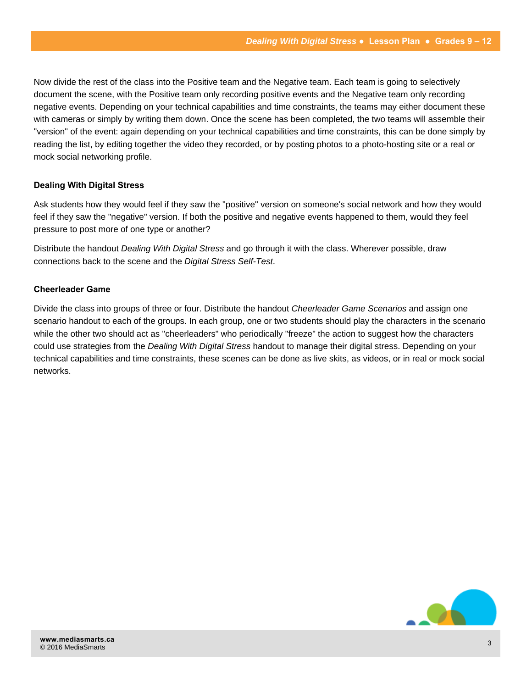Now divide the rest of the class into the Positive team and the Negative team. Each team is going to selectively document the scene, with the Positive team only recording positive events and the Negative team only recording negative events. Depending on your technical capabilities and time constraints, the teams may either document these with cameras or simply by writing them down. Once the scene has been completed, the two teams will assemble their "version" of the event: again depending on your technical capabilities and time constraints, this can be done simply by reading the list, by editing together the video they recorded, or by posting photos to a photo-hosting site or a real or mock social networking profile.

## **Dealing With Digital Stress**

Ask students how they would feel if they saw the "positive" version on someone's social network and how they would feel if they saw the "negative" version. If both the positive and negative events happened to them, would they feel pressure to post more of one type or another?

Distribute the handout *Dealing With Digital Stress* and go through it with the class. Wherever possible, draw connections back to the scene and the *Digital Stress Self-Test*.

#### **Cheerleader Game**

Divide the class into groups of three or four. Distribute the handout *Cheerleader Game Scenarios* and assign one scenario handout to each of the groups. In each group, one or two students should play the characters in the scenario while the other two should act as "cheerleaders" who periodically "freeze" the action to suggest how the characters could use strategies from the *Dealing With Digital Stress* handout to manage their digital stress. Depending on your technical capabilities and time constraints, these scenes can be done as live skits, as videos, or in real or mock social networks.

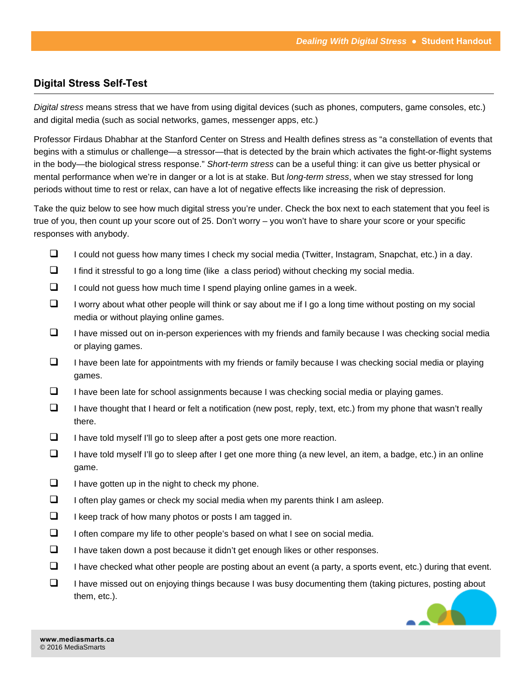## **Digital Stress Self-Test**

*Digital stress* means stress that we have from using digital devices (such as phones, computers, game consoles, etc.) and digital media (such as social networks, games, messenger apps, etc.)

Professor Firdaus Dhabhar at the Stanford Center on Stress and Health defines stress as "a constellation of events that begins with a stimulus or challenge—a stressor—that is detected by the brain which activates the fight-or-flight systems in the body—the biological stress response." *Short-term stress* can be a useful thing: it can give us better physical or mental performance when we're in danger or a lot is at stake. But *long-term stress*, when we stay stressed for long periods without time to rest or relax, can have a lot of negative effects like increasing the risk of depression.

Take the quiz below to see how much digital stress you're under. Check the box next to each statement that you feel is true of you, then count up your score out of 25. Don't worry – you won't have to share your score or your specific responses with anybody.

- $\Box$  I could not guess how many times I check my social media (Twitter, Instagram, Snapchat, etc.) in a day.
- $\Box$  I find it stressful to go a long time (like a class period) without checking my social media.
- $\Box$  I could not quess how much time I spend playing online games in a week.
- $\Box$  I worry about what other people will think or say about me if I go a long time without posting on my social media or without playing online games.
- $\Box$  I have missed out on in-person experiences with my friends and family because I was checking social media or playing games.
- $\Box$  I have been late for appointments with my friends or family because I was checking social media or playing games.
- $\Box$  I have been late for school assignments because I was checking social media or playing games.
- $\Box$  I have thought that I heard or felt a notification (new post, reply, text, etc.) from my phone that wasn't really there.
- $\Box$  I have told myself I'll go to sleep after a post gets one more reaction.
- $\Box$  I have told myself I'll go to sleep after I get one more thing (a new level, an item, a badge, etc.) in an online game.
- $\Box$  I have gotten up in the night to check my phone.
- $\Box$  I often play games or check my social media when my parents think I am asleep.
- $\Box$  I keep track of how many photos or posts I am tagged in.
- $\Box$  I often compare my life to other people's based on what I see on social media.
- $\Box$  I have taken down a post because it didn't get enough likes or other responses.
- $\Box$  I have checked what other people are posting about an event (a party, a sports event, etc.) during that event.
- $\Box$  I have missed out on enjoying things because I was busy documenting them (taking pictures, posting about them, etc.).

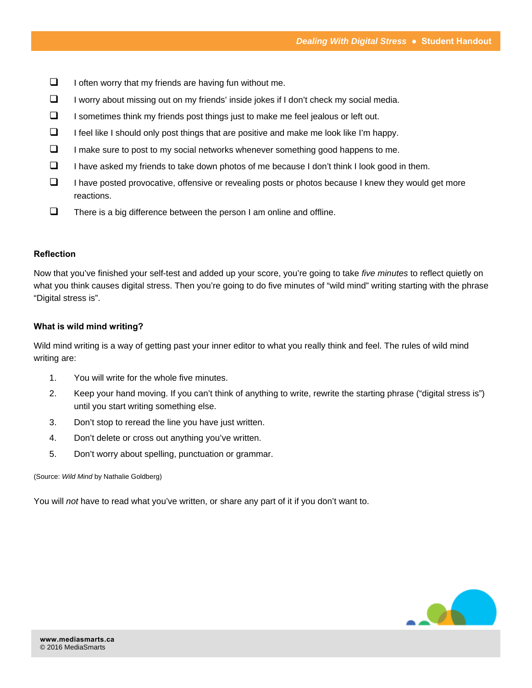- $\Box$  I often worry that my friends are having fun without me.
- $\Box$  I worry about missing out on my friends' inside jokes if I don't check my social media.
- $\Box$  I sometimes think my friends post things just to make me feel jealous or left out.
- $\Box$  I feel like I should only post things that are positive and make me look like I'm happy.
- $\Box$  I make sure to post to my social networks whenever something good happens to me.
- $\Box$  I have asked my friends to take down photos of me because I don't think I look good in them.
- $\Box$  I have posted provocative, offensive or revealing posts or photos because I knew they would get more reactions.
- $\Box$  There is a big difference between the person I am online and offline.

#### **Reflection**

Now that you've finished your self-test and added up your score, you're going to take *five minutes* to reflect quietly on what you think causes digital stress. Then you're going to do five minutes of "wild mind" writing starting with the phrase "Digital stress is".

#### **What is wild mind writing?**

Wild mind writing is a way of getting past your inner editor to what you really think and feel. The rules of wild mind writing are:

- 1. You will write for the whole five minutes.
- 2. Keep your hand moving. If you can't think of anything to write, rewrite the starting phrase ("digital stress is") until you start writing something else.
- 3. Don't stop to reread the line you have just written.
- 4. Don't delete or cross out anything you've written.
- 5. Don't worry about spelling, punctuation or grammar.

#### (Source: *Wild Mind* by Nathalie Goldberg)

You will *not* have to read what you've written, or share any part of it if you don't want to.

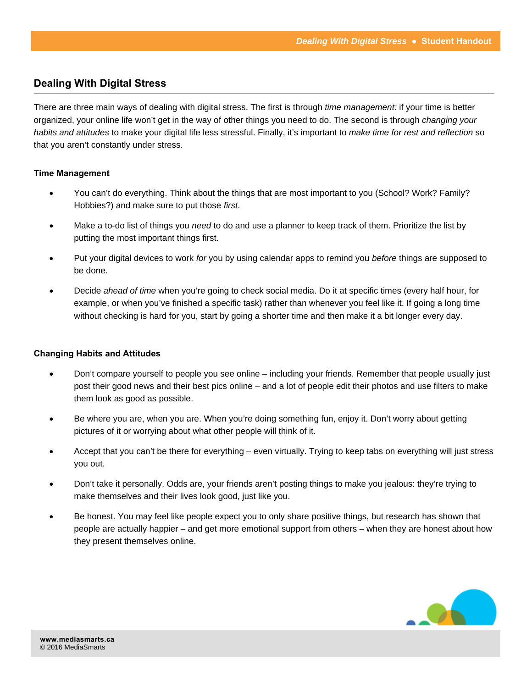# **Dealing With Digital Stress**

There are three main ways of dealing with digital stress. The first is through *time management:* if your time is better organized, your online life won't get in the way of other things you need to do. The second is through *changing your habits and attitudes* to make your digital life less stressful. Finally, it's important to *make time for rest and reflection* so that you aren't constantly under stress.

#### **Time Management**

- You can't do everything. Think about the things that are most important to you (School? Work? Family? Hobbies?) and make sure to put those *first*.
- Make a to-do list of things you *need* to do and use a planner to keep track of them. Prioritize the list by putting the most important things first.
- Put your digital devices to work *for* you by using calendar apps to remind you *before* things are supposed to be done.
- Decide *ahead of time* when you're going to check social media. Do it at specific times (every half hour, for example, or when you've finished a specific task) rather than whenever you feel like it. If going a long time without checking is hard for you, start by going a shorter time and then make it a bit longer every day.

## **Changing Habits and Attitudes**

- Don't compare yourself to people you see online including your friends. Remember that people usually just post their good news and their best pics online – and a lot of people edit their photos and use filters to make them look as good as possible.
- Be where you are, when you are. When you're doing something fun, enjoy it. Don't worry about getting pictures of it or worrying about what other people will think of it.
- Accept that you can't be there for everything even virtually. Trying to keep tabs on everything will just stress you out.
- Don't take it personally. Odds are, your friends aren't posting things to make you jealous: they're trying to make themselves and their lives look good, just like you.
- Be honest. You may feel like people expect you to only share positive things, but research has shown that people are actually happier – and get more emotional support from others – when they are honest about how they present themselves online.

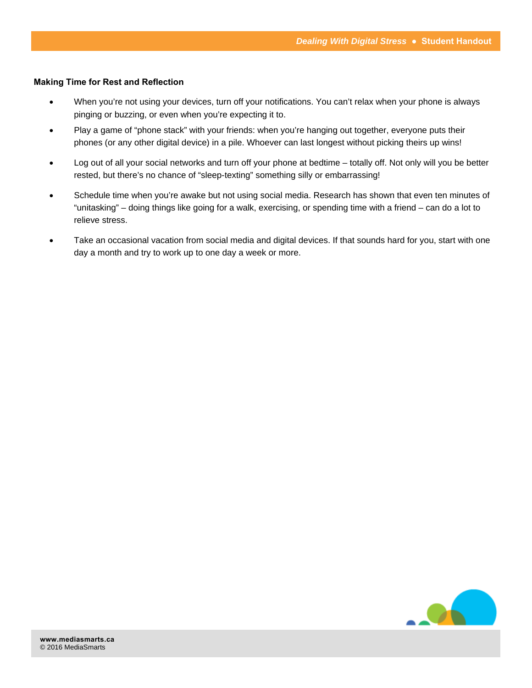#### **Making Time for Rest and Reflection**

- When you're not using your devices, turn off your notifications. You can't relax when your phone is always pinging or buzzing, or even when you're expecting it to.
- Play a game of "phone stack" with your friends: when you're hanging out together, everyone puts their phones (or any other digital device) in a pile. Whoever can last longest without picking theirs up wins!
- Log out of all your social networks and turn off your phone at bedtime totally off. Not only will you be better rested, but there's no chance of "sleep-texting" something silly or embarrassing!
- Schedule time when you're awake but not using social media. Research has shown that even ten minutes of "unitasking" – doing things like going for a walk, exercising, or spending time with a friend – can do a lot to relieve stress.
- Take an occasional vacation from social media and digital devices. If that sounds hard for you, start with one day a month and try to work up to one day a week or more.

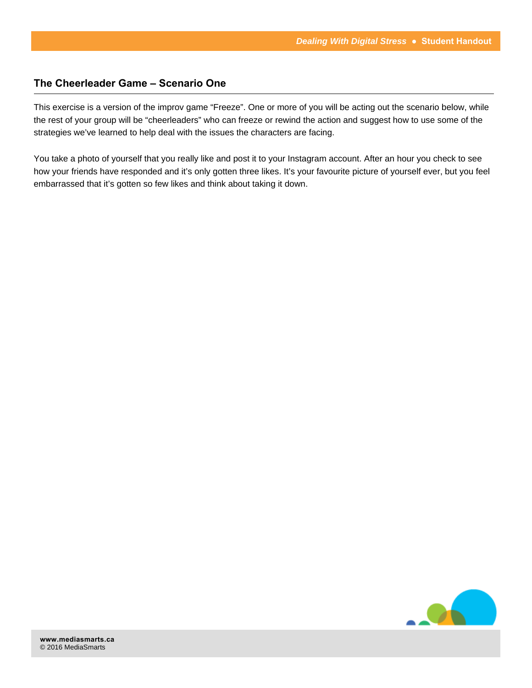## **The Cheerleader Game – Scenario One**

This exercise is a version of the improv game "Freeze". One or more of you will be acting out the scenario below, while the rest of your group will be "cheerleaders" who can freeze or rewind the action and suggest how to use some of the strategies we've learned to help deal with the issues the characters are facing.

You take a photo of yourself that you really like and post it to your Instagram account. After an hour you check to see how your friends have responded and it's only gotten three likes. It's your favourite picture of yourself ever, but you feel embarrassed that it's gotten so few likes and think about taking it down.

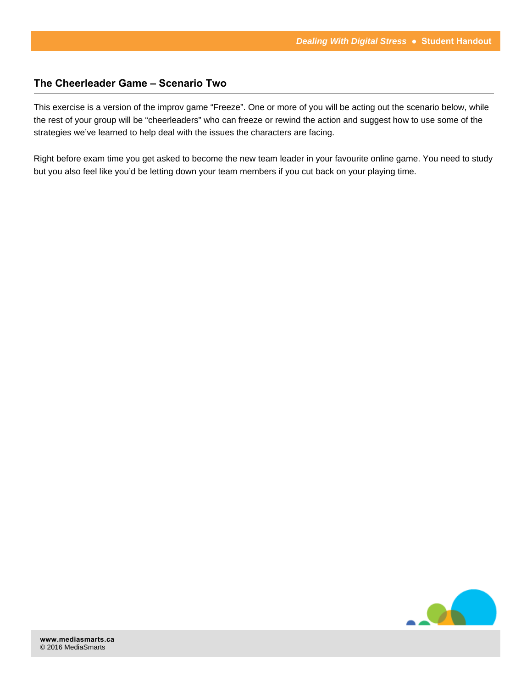## **The Cheerleader Game – Scenario Two**

This exercise is a version of the improv game "Freeze". One or more of you will be acting out the scenario below, while the rest of your group will be "cheerleaders" who can freeze or rewind the action and suggest how to use some of the strategies we've learned to help deal with the issues the characters are facing.

Right before exam time you get asked to become the new team leader in your favourite online game. You need to study but you also feel like you'd be letting down your team members if you cut back on your playing time.

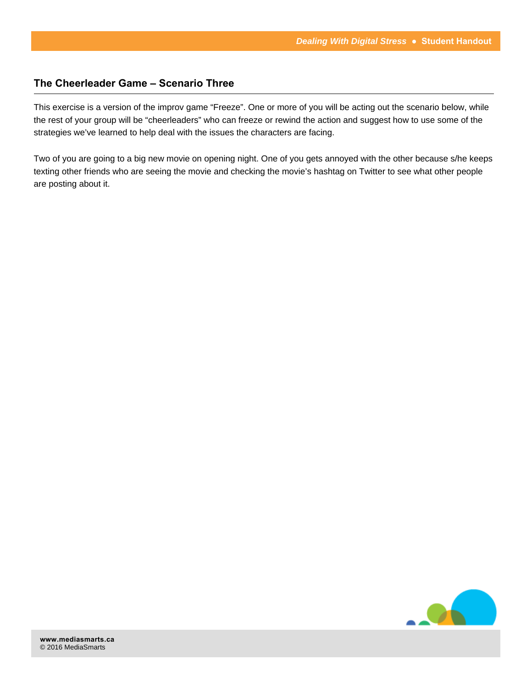## **The Cheerleader Game – Scenario Three**

This exercise is a version of the improv game "Freeze". One or more of you will be acting out the scenario below, while the rest of your group will be "cheerleaders" who can freeze or rewind the action and suggest how to use some of the strategies we've learned to help deal with the issues the characters are facing.

Two of you are going to a big new movie on opening night. One of you gets annoyed with the other because s/he keeps texting other friends who are seeing the movie and checking the movie's hashtag on Twitter to see what other people are posting about it.

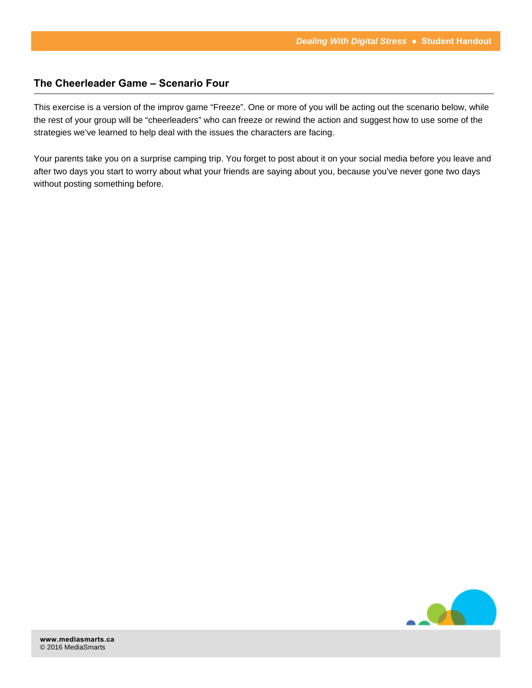## **The Cheerleader Game – Scenario Four**

This exercise is a version of the improv game "Freeze". One or more of you will be acting out the scenario below, while the rest of your group will be "cheerleaders" who can freeze or rewind the action and suggest how to use some of the strategies we've learned to help deal with the issues the characters are facing.

Your parents take you on a surprise camping trip. You forget to post about it on your social media before you leave and after two days you start to worry about what your friends are saying about you, because you've never gone two days without posting something before.

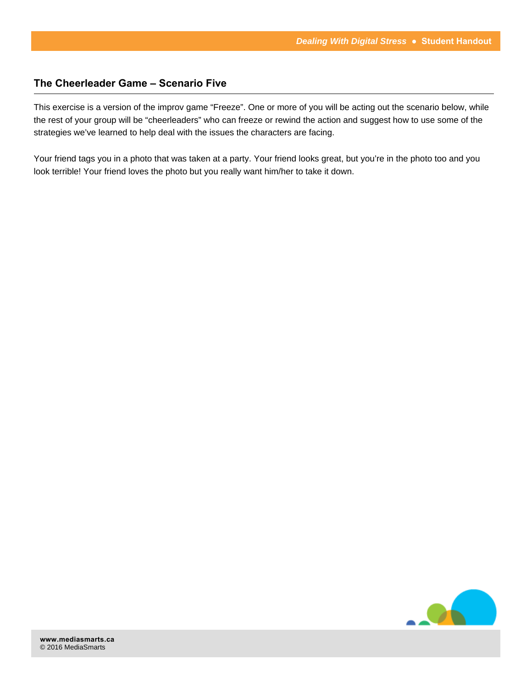## **The Cheerleader Game – Scenario Five**

This exercise is a version of the improv game "Freeze". One or more of you will be acting out the scenario below, while the rest of your group will be "cheerleaders" who can freeze or rewind the action and suggest how to use some of the strategies we've learned to help deal with the issues the characters are facing.

Your friend tags you in a photo that was taken at a party. Your friend looks great, but you're in the photo too and you look terrible! Your friend loves the photo but you really want him/her to take it down.

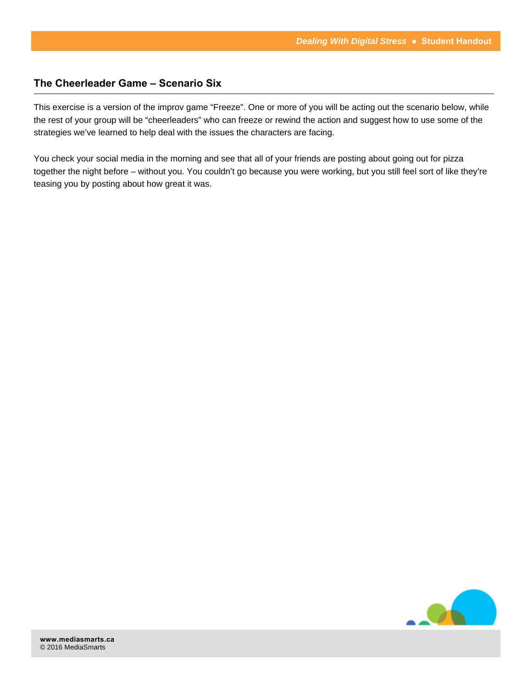## **The Cheerleader Game – Scenario Six**

This exercise is a version of the improv game "Freeze". One or more of you will be acting out the scenario below, while the rest of your group will be "cheerleaders" who can freeze or rewind the action and suggest how to use some of the strategies we've learned to help deal with the issues the characters are facing.

You check your social media in the morning and see that all of your friends are posting about going out for pizza together the night before – without you. You couldn't go because you were working, but you still feel sort of like they're teasing you by posting about how great it was.

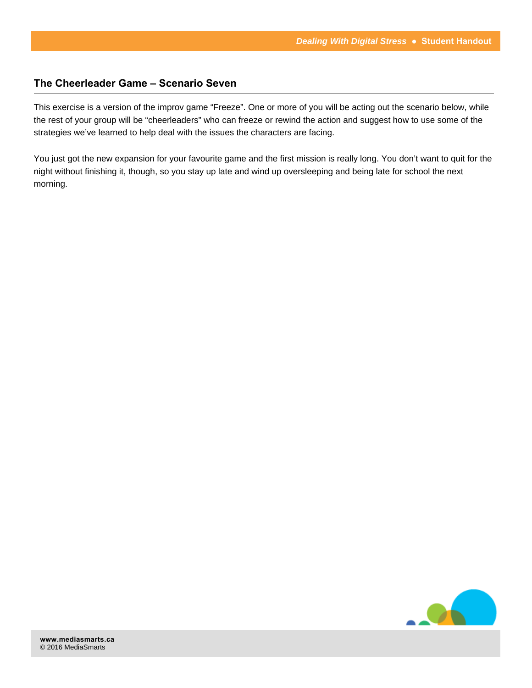## **The Cheerleader Game – Scenario Seven**

This exercise is a version of the improv game "Freeze". One or more of you will be acting out the scenario below, while the rest of your group will be "cheerleaders" who can freeze or rewind the action and suggest how to use some of the strategies we've learned to help deal with the issues the characters are facing.

You just got the new expansion for your favourite game and the first mission is really long. You don't want to quit for the night without finishing it, though, so you stay up late and wind up oversleeping and being late for school the next morning.

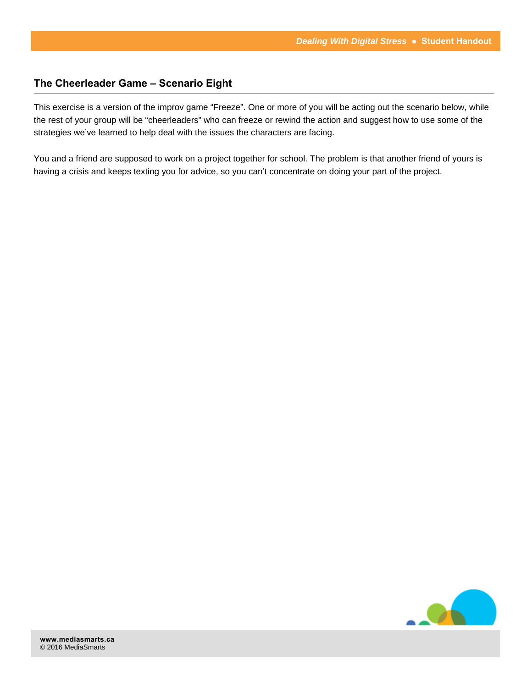## **The Cheerleader Game – Scenario Eight**

This exercise is a version of the improv game "Freeze". One or more of you will be acting out the scenario below, while the rest of your group will be "cheerleaders" who can freeze or rewind the action and suggest how to use some of the strategies we've learned to help deal with the issues the characters are facing.

You and a friend are supposed to work on a project together for school. The problem is that another friend of yours is having a crisis and keeps texting you for advice, so you can't concentrate on doing your part of the project.

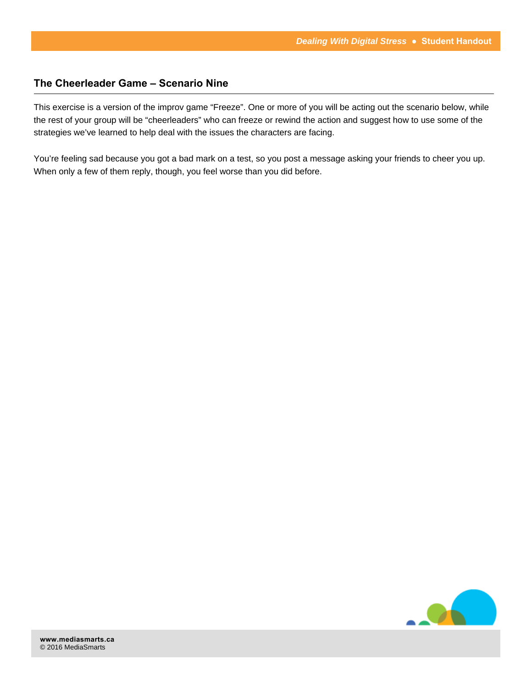## **The Cheerleader Game – Scenario Nine**

This exercise is a version of the improv game "Freeze". One or more of you will be acting out the scenario below, while the rest of your group will be "cheerleaders" who can freeze or rewind the action and suggest how to use some of the strategies we've learned to help deal with the issues the characters are facing.

You're feeling sad because you got a bad mark on a test, so you post a message asking your friends to cheer you up. When only a few of them reply, though, you feel worse than you did before.

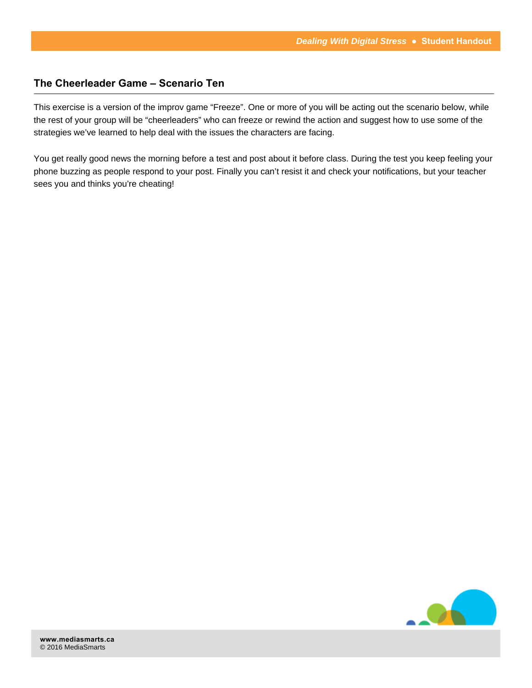## **The Cheerleader Game – Scenario Ten**

This exercise is a version of the improv game "Freeze". One or more of you will be acting out the scenario below, while the rest of your group will be "cheerleaders" who can freeze or rewind the action and suggest how to use some of the strategies we've learned to help deal with the issues the characters are facing.

You get really good news the morning before a test and post about it before class. During the test you keep feeling your phone buzzing as people respond to your post. Finally you can't resist it and check your notifications, but your teacher sees you and thinks you're cheating!

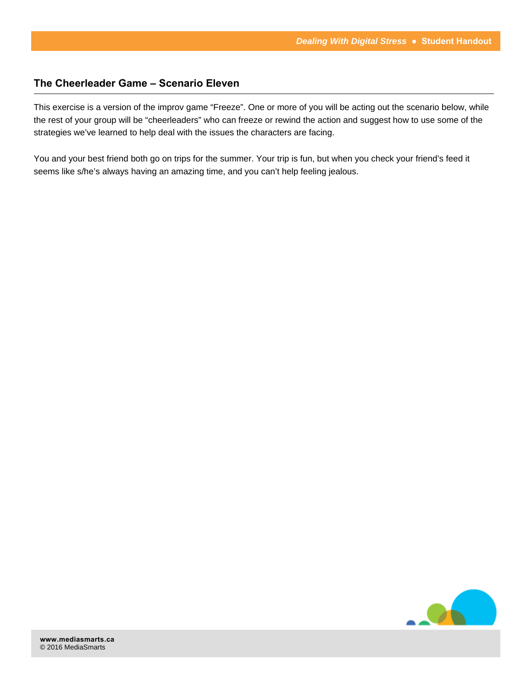## **The Cheerleader Game – Scenario Eleven**

This exercise is a version of the improv game "Freeze". One or more of you will be acting out the scenario below, while the rest of your group will be "cheerleaders" who can freeze or rewind the action and suggest how to use some of the strategies we've learned to help deal with the issues the characters are facing.

You and your best friend both go on trips for the summer. Your trip is fun, but when you check your friend's feed it seems like s/he's always having an amazing time, and you can't help feeling jealous.

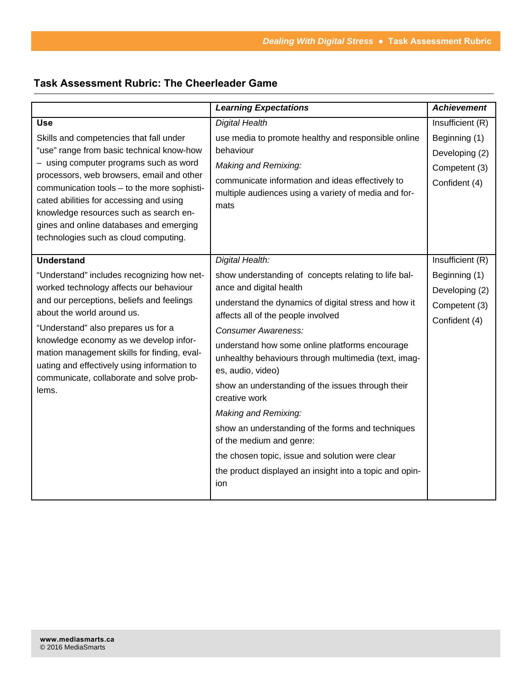# **Task Assessment Rubric: The Cheerleader Game**

|                                                                                            | <b>Learning Expectations</b>                                                  | <b>Achievement</b> |
|--------------------------------------------------------------------------------------------|-------------------------------------------------------------------------------|--------------------|
| <b>Use</b>                                                                                 | <b>Digital Health</b>                                                         | Insufficient (R)   |
| Skills and competencies that fall under                                                    | use media to promote healthy and responsible online                           | Beginning (1)      |
| "use" range from basic technical know-how                                                  | behaviour                                                                     | Developing (2)     |
| - using computer programs such as word                                                     | Making and Remixing:                                                          | Competent (3)      |
| processors, web browsers, email and other<br>communication tools - to the more sophisti-   | communicate information and ideas effectively to                              | Confident (4)      |
| cated abilities for accessing and using                                                    | multiple audiences using a variety of media and for-                          |                    |
| knowledge resources such as search en-                                                     | mats                                                                          |                    |
| gines and online databases and emerging                                                    |                                                                               |                    |
| technologies such as cloud computing.                                                      |                                                                               |                    |
| <b>Understand</b>                                                                          | Digital Health:                                                               | Insufficient (R)   |
| "Understand" includes recognizing how net-                                                 | show understanding of concepts relating to life bal-                          | Beginning (1)      |
| worked technology affects our behaviour                                                    | ance and digital health                                                       |                    |
| and our perceptions, beliefs and feelings                                                  | understand the dynamics of digital stress and how it                          | Developing (2)     |
| about the world around us.                                                                 | affects all of the people involved                                            | Competent (3)      |
| "Understand" also prepares us for a<br>knowledge economy as we develop infor-              | <b>Consumer Awareness:</b>                                                    | Confident (4)      |
|                                                                                            | understand how some online platforms encourage                                |                    |
| mation management skills for finding, eval-<br>uating and effectively using information to | unhealthy behaviours through multimedia (text, imag-                          |                    |
| communicate, collaborate and solve prob-<br>lems.                                          | es, audio, video)                                                             |                    |
|                                                                                            | show an understanding of the issues through their                             |                    |
|                                                                                            | creative work                                                                 |                    |
|                                                                                            | Making and Remixing:                                                          |                    |
|                                                                                            | show an understanding of the forms and techniques<br>of the medium and genre: |                    |
|                                                                                            | the chosen topic, issue and solution were clear                               |                    |
|                                                                                            | the product displayed an insight into a topic and opin-                       |                    |
|                                                                                            | ion                                                                           |                    |
|                                                                                            |                                                                               |                    |